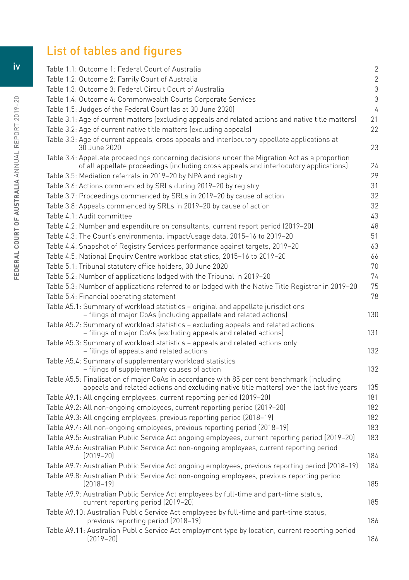## List of tables and figures

| Table 1.1: Outcome 1: Federal Court of Australia                                                                                                                                       | 2              |
|----------------------------------------------------------------------------------------------------------------------------------------------------------------------------------------|----------------|
| Table 1.2: Outcome 2: Family Court of Australia                                                                                                                                        | $\overline{2}$ |
| Table 1.3: Outcome 3: Federal Circuit Court of Australia                                                                                                                               | $\mathfrak{Z}$ |
| Table 1.4: Outcome 4: Commonwealth Courts Corporate Services                                                                                                                           | 3              |
| Table 1.5: Judges of the Federal Court (as at 30 June 2020)                                                                                                                            | $\sqrt{4}$     |
| Table 3.1: Age of current matters (excluding appeals and related actions and native title matters)                                                                                     | 21             |
| Table 3.2: Age of current native title matters (excluding appeals)                                                                                                                     | 22             |
| Table 3.3: Age of current appeals, cross appeals and interlocutory appellate applications at<br>30 June 2020                                                                           | 23             |
| Table 3.4: Appellate proceedings concerning decisions under the Migration Act as a proportion<br>of all appellate proceedings (including cross appeals and interlocutory applications) | 24             |
| Table 3.5: Mediation referrals in 2019-20 by NPA and registry                                                                                                                          | 29             |
| Table 3.6: Actions commenced by SRLs during 2019-20 by registry                                                                                                                        | 31             |
| Table 3.7: Proceedings commenced by SRLs in 2019-20 by cause of action                                                                                                                 | 32             |
| Table 3.8: Appeals commenced by SRLs in 2019-20 by cause of action                                                                                                                     | 32             |
| Table 4.1: Audit committee                                                                                                                                                             | 43             |
| Table 4.2: Number and expenditure on consultants, current report period (2019-20)                                                                                                      | 48             |
| Table 4.3: The Court's environmental impact/usage data, 2015-16 to 2019-20                                                                                                             | 51             |
| Table 4.4: Snapshot of Registry Services performance against targets, 2019-20                                                                                                          | 63             |
| Table 4.5: National Enquiry Centre workload statistics, 2015-16 to 2019-20                                                                                                             | 66             |
| Table 5.1: Tribunal statutory office holders, 30 June 2020                                                                                                                             | 70             |
| Table 5.2: Number of applications lodged with the Tribunal in 2019-20                                                                                                                  | 74             |
| Table 5.3: Number of applications referred to or lodged with the Native Title Registrar in 2019-20                                                                                     | 75             |
| Table 5.4: Financial operating statement                                                                                                                                               | 78             |
| Table A5.1: Summary of workload statistics - original and appellate jurisdictions<br>- filings of major CoAs (including appellate and related actions)                                 | 130            |
| Table A5.2: Summary of workload statistics - excluding appeals and related actions<br>- filings of major CoAs (excluding appeals and related actions)                                  | 131            |
| Table A5.3: Summary of workload statistics - appeals and related actions only<br>- filings of appeals and related actions                                                              | 132            |
| Table A5.4: Summary of supplementary workload statistics<br>- filings of supplementary causes of action                                                                                | 132            |
| Table A5.5: Finalisation of major CoAs in accordance with 85 per cent benchmark (including<br>appeals and related actions and excluding native title matters) over the last five years | 135            |
| Table A9.1: All ongoing employees, current reporting period (2019-20)                                                                                                                  | 181            |
| Table A9.2: All non-ongoing employees, current reporting period (2019-20)                                                                                                              | 182            |
| Table A9.3: All ongoing employees, previous reporting period (2018-19)                                                                                                                 | 182            |
| Table A9.4: All non-ongoing employees, previous reporting period (2018-19)                                                                                                             | 183            |
| Table A9.5: Australian Public Service Act ongoing employees, current reporting period (2019-20)                                                                                        | 183            |
| Table A9.6: Australian Public Service Act non-ongoing employees, current reporting period<br>$[2019 - 20]$                                                                             | 184            |
| Table A9.7: Australian Public Service Act ongoing employees, previous reporting period (2018-19)                                                                                       | 184            |
| Table A9.8: Australian Public Service Act non-ongoing employees, previous reporting period<br>$[2018 - 19]$                                                                            | 185            |
| Table A9.9: Australian Public Service Act employees by full-time and part-time status,<br>current reporting period (2019-20)                                                           | 185            |
| Table A9.10: Australian Public Service Act employees by full-time and part-time status,<br>previous reporting period (2018-19)                                                         | 186            |
| Table A9.11: Australian Public Service Act employment type by location, current reporting period<br>$[2019 - 20]$                                                                      | 186            |